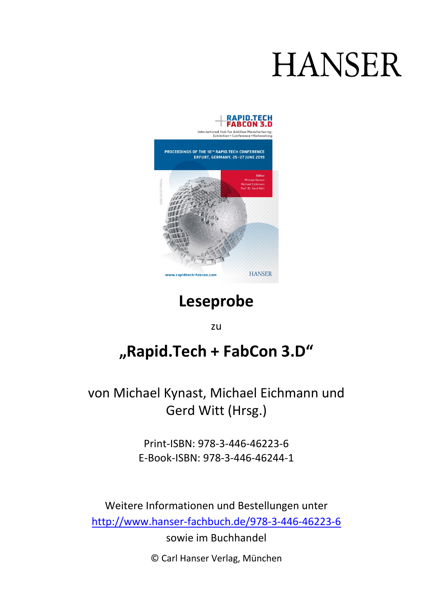# **HANSER**



# **Leseprobe**

zu

# **"Rapid.Tech + FabCon 3.D"**

von Michael Kynast, Michael Eichmann und Gerd Witt (Hrsg.)

> Print-ISBN: 978-3-446-46223-6 E-Book-ISBN: 978-3-446-46244-1

Weitere Informationen und Bestellungen unter <http://www.hanser-fachbuch.de/978-3-446-46223-6> sowie im Buchhandel

© Carl Hanser Verlag, München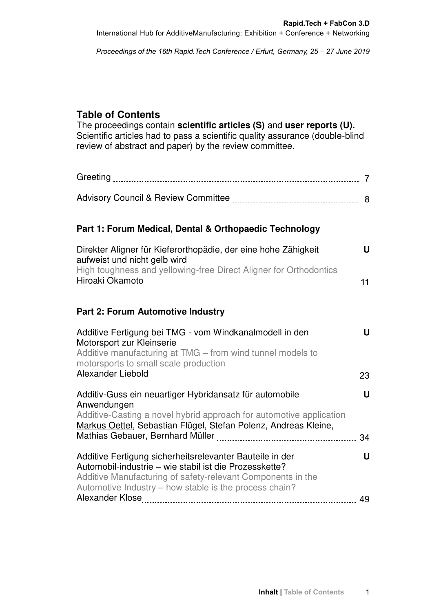Proceedings of the 16th Rapid.Tech Conference / Erfurt, Germany, 25 – 27 June 2019

# **Table of Contents**

The proceedings contain **scientific articles (S)** and **user reports (U).** Scientific articles had to pass a scientific quality assurance (double-blind review of abstract and paper) by the review committee.

#### **Part 1: Forum Medical, Dental & Orthopaedic Technology**

| Direkter Aligner für Kieferorthopädie, der eine hohe Zähigkeit    | U. |
|-------------------------------------------------------------------|----|
| aufweist und nicht gelb wird                                      |    |
| High toughness and yellowing-free Direct Aligner for Orthodontics |    |
| Hiroaki Okamoto                                                   |    |

# **Part 2: Forum Automotive Industry**

| Additive Fertigung bei TMG - vom Windkanalmodell in den<br>Motorsport zur Kleinserie<br>Additive manufacturing at TMG – from wind tunnel models to<br>motorsports to small scale production | u  |
|---------------------------------------------------------------------------------------------------------------------------------------------------------------------------------------------|----|
|                                                                                                                                                                                             | 23 |
| Additiv-Guss ein neuartiger Hybridansatz für automobile<br>Anwendungen                                                                                                                      | u  |
| Additive-Casting a novel hybrid approach for automotive application<br>Markus Oettel, Sebastian Flügel, Stefan Polenz, Andreas Kleine,                                                      |    |
|                                                                                                                                                                                             | 34 |
| Additive Fertigung sicherheitsrelevanter Bauteile in der<br>Automobil-industrie – wie stabil ist die Prozesskette?                                                                          | U  |
| Additive Manufacturing of safety-relevant Components in the<br>Automotive Industry - how stable is the process chain?                                                                       |    |
|                                                                                                                                                                                             | 49 |
|                                                                                                                                                                                             |    |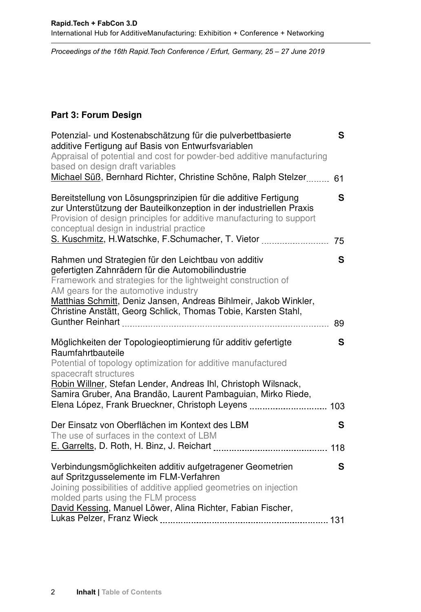Proceedings of the 16th Rapid.Tech Conference / Erfurt, Germany, 25 – 27 June 2019

### **Part 3: Forum Design**

| Potenzial- und Kostenabschätzung für die pulverbettbasierte<br>additive Fertigung auf Basis von Entwurfsvariablen<br>Appraisal of potential and cost for powder-bed additive manufacturing<br>based on design draft variables<br>Michael Süß, Bernhard Richter, Christine Schöne, Ralph Stelzer                                                        | S<br>61 |
|--------------------------------------------------------------------------------------------------------------------------------------------------------------------------------------------------------------------------------------------------------------------------------------------------------------------------------------------------------|---------|
| Bereitstellung von Lösungsprinzipien für die additive Fertigung<br>zur Unterstützung der Bauteilkonzeption in der industriellen Praxis<br>Provision of design principles for additive manufacturing to support<br>conceptual design in industrial practice                                                                                             | S       |
| Rahmen und Strategien für den Leichtbau von additiv<br>gefertigten Zahnrädern für die Automobilindustrie<br>Framework and strategies for the lightweight construction of<br>AM gears for the automotive industry<br>Matthias Schmitt, Deniz Jansen, Andreas Bihlmeir, Jakob Winkler,<br>Christine Anstätt, Georg Schlick, Thomas Tobie, Karsten Stahl, | S       |
|                                                                                                                                                                                                                                                                                                                                                        | 89      |
| Möglichkeiten der Topologieoptimierung für additiv gefertigte<br>Raumfahrtbauteile<br>Potential of topology optimization for additive manufactured<br>spacecraft structures<br>Robin Willner, Stefan Lender, Andreas Ihl, Christoph Wilsnack,<br>Samira Gruber, Ana Brandão, Laurent Pambaguian, Mirko Riede,                                          | S       |
| Elena López, Frank Brueckner, Christoph Leyens  103                                                                                                                                                                                                                                                                                                    |         |
| Der Einsatz von Oberflächen im Kontext des LBM<br>The use of surfaces in the context of LBM                                                                                                                                                                                                                                                            | S       |
|                                                                                                                                                                                                                                                                                                                                                        |         |
| Verbindungsmöglichkeiten additiv aufgetragener Geometrien<br>auf Spritzgusselemente im FLM-Verfahren<br>Joining possibilities of additive applied geometries on injection<br>molded parts using the FLM process<br>David Kessing, Manuel Löwer, Alina Richter, Fabian Fischer,                                                                         | S       |
|                                                                                                                                                                                                                                                                                                                                                        |         |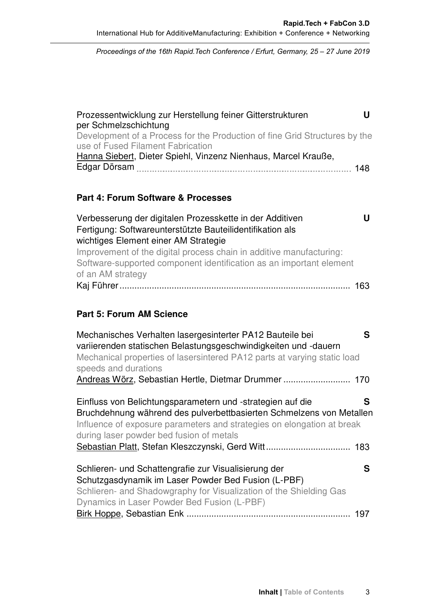Proceedings of the 16th Rapid.Tech Conference *Proceedings of the 16th Rapid.Tech Conference / Erfurt, Germany, 25 – 27 June 2019*

| Prozessentwicklung zur Herstellung feiner Gitterstrukturen                 |  |
|----------------------------------------------------------------------------|--|
| per Schmelzschichtung                                                      |  |
| Development of a Process for the Production of fine Grid Structures by the |  |
| use of Fused Filament Fabrication                                          |  |
| Hanna Siebert, Dieter Spiehl, Vinzenz Nienhaus, Marcel Krauße,             |  |
|                                                                            |  |

# **Part 4: Forum Software & Processes**

| Verbesserung der digitalen Prozesskette in der Additiven            | '' |
|---------------------------------------------------------------------|----|
| Fertigung: Softwareunterstützte Bauteilidentifikation als           |    |
| wichtiges Element einer AM Strategie                                |    |
| Improvement of the digital process chain in additive manufacturing: |    |
| Software-supported component identification as an important element |    |
| of an AM strategy                                                   |    |
|                                                                     |    |

# **Part 5: Forum AM Science**

| Mechanisches Verhalten lasergesinterter PA12 Bauteile bei<br>variierenden statischen Belastungsgeschwindigkeiten und -dauern<br>Mechanical properties of lasersintered PA12 parts at varying static load<br>speeds and durations                              |  |
|---------------------------------------------------------------------------------------------------------------------------------------------------------------------------------------------------------------------------------------------------------------|--|
| Einfluss von Belichtungsparametern und -strategien auf die<br>S<br>Bruchdehnung während des pulverbettbasierten Schmelzens von Metallen<br>Influence of exposure parameters and strategies on elongation at break<br>during laser powder bed fusion of metals |  |
| Schlieren- und Schattengrafie zur Visualisierung der<br>S<br>Schutzgasdynamik im Laser Powder Bed Fusion (L-PBF)<br>Schlieren- and Shadowgraphy for Visualization of the Shielding Gas<br>Dynamics in Laser Powder Bed Fusion (L-PBF)<br>197                  |  |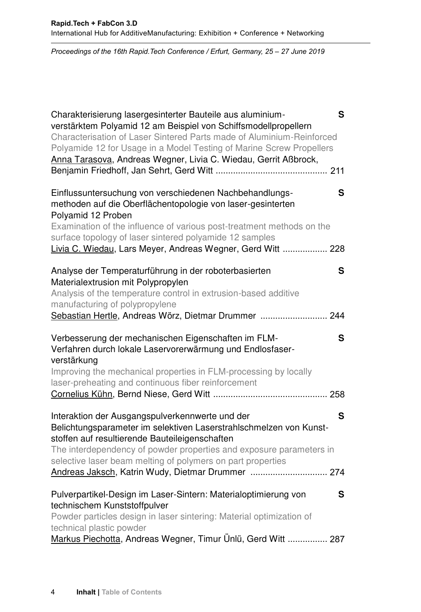Proceedings of the 16th Rapid.Tech Conference *Proceedings of the 16th Rapid.Tech Conference / Erfurt, Germany, 25 – 27 June 2019*

| Charakterisierung lasergesinterter Bauteile aus aluminium-<br>S<br>verstärktem Polyamid 12 am Beispiel von Schiffsmodellpropellern<br>Characterisation of Laser Sintered Parts made of Aluminium-Reinforced<br>Polyamide 12 for Usage in a Model Testing of Marine Screw Propellers<br>Anna Tarasova, Andreas Wegner, Livia C. Wiedau, Gerrit Aßbrock,                  |
|-------------------------------------------------------------------------------------------------------------------------------------------------------------------------------------------------------------------------------------------------------------------------------------------------------------------------------------------------------------------------|
| Einflussuntersuchung von verschiedenen Nachbehandlungs-<br>S<br>methoden auf die Oberflächentopologie von laser-gesinterten<br>Polyamid 12 Proben<br>Examination of the influence of various post-treatment methods on the<br>surface topology of laser sintered polyamide 12 samples<br>Livia C. Wiedau, Lars Meyer, Andreas Wegner, Gerd Witt  228                    |
| Analyse der Temperaturführung in der roboterbasierten<br>S<br>Materialextrusion mit Polypropylen<br>Analysis of the temperature control in extrusion-based additive<br>manufacturing of polypropylene<br>Sebastian Hertle, Andreas Wörz, Dietmar Drummer  244                                                                                                           |
| Verbesserung der mechanischen Eigenschaften im FLM-<br>S<br>Verfahren durch lokale Laservorerwärmung und Endlosfaser-<br>verstärkung<br>Improving the mechanical properties in FLM-processing by locally<br>laser-preheating and continuous fiber reinforcement                                                                                                         |
| S<br>Interaktion der Ausgangspulverkennwerte und der<br>Belichtungsparameter im selektiven Laserstrahlschmelzen von Kunst-<br>stoffen auf resultierende Bauteileigenschaften<br>The interdependency of powder properties and exposure parameters in<br>selective laser beam melting of polymers on part properties<br>Andreas Jaksch, Katrin Wudy, Dietmar Drummer  274 |
| Pulverpartikel-Design im Laser-Sintern: Materialoptimierung von<br>S<br>technischem Kunststoffpulver<br>Powder particles design in laser sintering: Material optimization of<br>technical plastic powder<br>Markus Piechotta, Andreas Wegner, Timur Ünlü, Gerd Witt  287                                                                                                |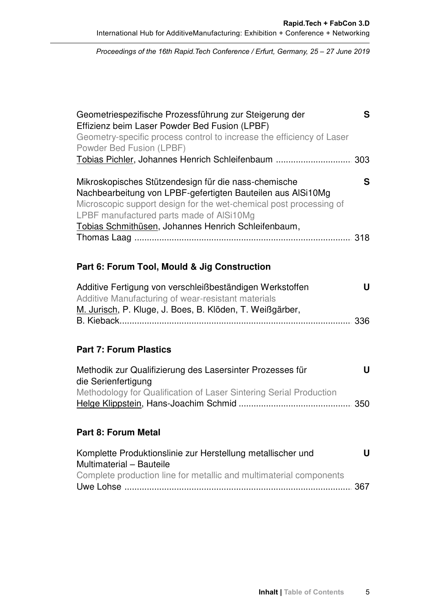Proceedings of the 16th Rapid.Tech Conference *Proceedings of the 16th Rapid.Tech Conference / Erfurt, Germany, 25 – 27 June 2019*

| Geometriespezifische Prozessführung zur Steigerung der<br>Effizienz beim Laser Powder Bed Fusion (LPBF)<br>Geometry-specific process control to increase the efficiency of Laser<br>Powder Bed Fusion (LPBF)<br>Tobias Pichler, Johannes Henrich Schleifenbaum  303                          | S |
|----------------------------------------------------------------------------------------------------------------------------------------------------------------------------------------------------------------------------------------------------------------------------------------------|---|
| Mikroskopisches Stützendesign für die nass-chemische<br>Nachbearbeitung von LPBF-gefertigten Bauteilen aus AlSi10Mg<br>Microscopic support design for the wet-chemical post processing of<br>LPBF manufactured parts made of AlSi10Mg<br>Tobias Schmithüsen, Johannes Henrich Schleifenbaum, | S |
| Part 6: Forum Tool, Mould & Jig Construction                                                                                                                                                                                                                                                 |   |
| Additive Fertigung von verschleißbeständigen Werkstoffen<br>Additive Manufacturing of wear-resistant materials<br>M. Jurisch, P. Kluge, J. Boes, B. Klöden, T. Weißgärber,<br><b>Part 7: Forum Plastics</b>                                                                                  | U |
| Methodik zur Qualifizierung des Lasersinter Prozesses für                                                                                                                                                                                                                                    | U |
| die Serienfertigung<br>Methodology for Qualification of Laser Sintering Serial Production                                                                                                                                                                                                    |   |
| <b>Part 8: Forum Metal</b>                                                                                                                                                                                                                                                                   |   |
| Komplette Produktionslinie zur Herstellung metallischer und<br>Multimaterial - Bauteile<br>Complete production line for metallic and multimaterial components                                                                                                                                | U |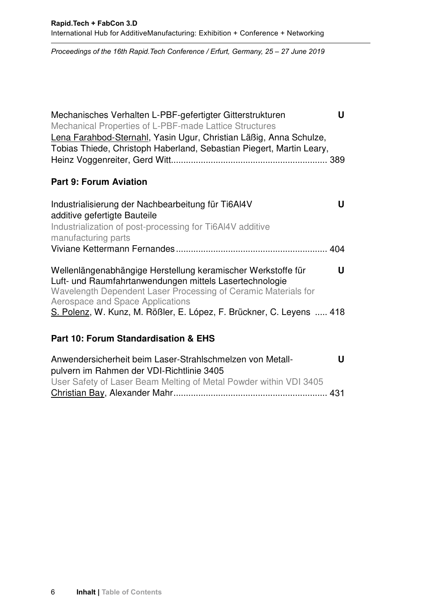Proceedings of the 16th Rapid.Tech Conference / Erfurt, Germany, 25 – 27 June 2019

| U<br>Mechanisches Verhalten L-PBF-gefertigter Gitterstrukturen<br>Mechanical Properties of L-PBF-made Lattice Structures<br>Lena Farahbod-Sternahl, Yasin Ugur, Christian Läßig, Anna Schulze,<br>Tobias Thiede, Christoph Haberland, Sebastian Piegert, Martin Leary, |
|------------------------------------------------------------------------------------------------------------------------------------------------------------------------------------------------------------------------------------------------------------------------|
| <b>Part 9: Forum Aviation</b>                                                                                                                                                                                                                                          |
| Industrialisierung der Nachbearbeitung für Ti6Al4V<br>u<br>additive gefertigte Bauteile<br>Industrialization of post-processing for Ti6AI4V additive<br>manufacturing parts                                                                                            |
|                                                                                                                                                                                                                                                                        |
| U<br>Wellenlängenabhängige Herstellung keramischer Werkstoffe für<br>Luft- und Raumfahrtanwendungen mittels Lasertechnologie<br>Wavelength Dependent Laser Processing of Ceramic Materials for<br>Aerospace and Space Applications                                     |
| S. Polenz, W. Kunz, M. Rößler, E. López, F. Brückner, C. Leyens  418                                                                                                                                                                                                   |
| Part 10: Forum Standardisation & EHS                                                                                                                                                                                                                                   |
| U<br>Anwendersicherheit beim Laser-Strahlschmelzen von Metall-<br>pulvern im Rahmen der VDI-Richtlinie 3405                                                                                                                                                            |

User Safety of Laser Beam Melting of Metal Powder within VDI 3405 Christian Bay, Alexander Mahr .................................................................. X 431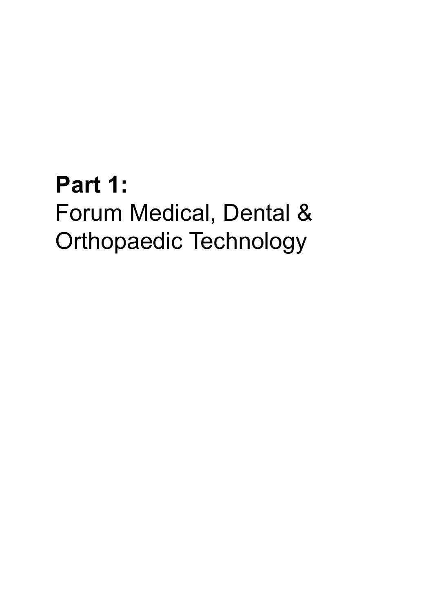# **Part 1:** Forum Medical, Dental & Orthopaedic Technology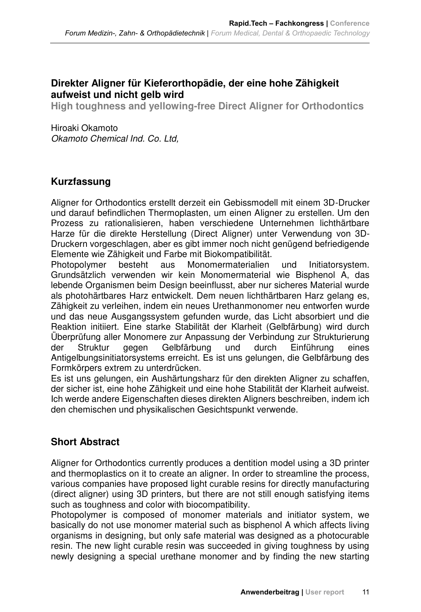# **Direkter Aligner für Kieferorthopädie, der eine hohe Zähigkeit aufweist und nicht gelb wird**

**High toughness and yellowing-free Direct Aligner for Orthodontics** 

Hiroaki Okamoto Okamoto Chemical Ind. Co. Ltd,

# **Kurzfassung**

Aligner for Orthodontics erstellt derzeit ein Gebissmodell mit einem 3D-Drucker und darauf befindlichen Thermoplasten, um einen Aligner zu erstellen. Um den Prozess zu rationalisieren, haben verschiedene Unternehmen lichthärtbare Harze für die direkte Herstellung (Direct Aligner) unter Verwendung von 3D-Druckern vorgeschlagen, aber es gibt immer noch nicht genügend befriedigende Elemente wie Zähigkeit und Farbe mit Biokompatibilität.

Photopolymer besteht aus Monomermaterialien und Initiatorsystem. Grundsätzlich verwenden wir kein Monomermaterial wie Bisphenol A, das lebende Organismen beim Design beeinflusst, aber nur sicheres Material wurde als photohärtbares Harz entwickelt. Dem neuen lichthärtbaren Harz gelang es, Zähigkeit zu verleihen, indem ein neues Urethanmonomer neu entworfen wurde und das neue Ausgangssystem gefunden wurde, das Licht absorbiert und die Reaktion initiiert. Eine starke Stabilität der Klarheit (Gelbfärbung) wird durch Überprüfung aller Monomere zur Anpassung der Verbindung zur Strukturierung der Struktur gegen Gelbfärbung und durch Einführung eines Antigelbungsinitiatorsystems erreicht. Es ist uns gelungen, die Gelbfärbung des Formkörpers extrem zu unterdrücken.

Es ist uns gelungen, ein Aushärtungsharz für den direkten Aligner zu schaffen, der sicher ist, eine hohe Zähigkeit und eine hohe Stabilität der Klarheit aufweist. Ich werde andere Eigenschaften dieses direkten Aligners beschreiben, indem ich den chemischen und physikalischen Gesichtspunkt verwende.

# **Short Abstract**

Aligner for Orthodontics currently produces a dentition model using a 3D printer and thermoplastics on it to create an aligner. In order to streamline the process, various companies have proposed light curable resins for directly manufacturing (direct aligner) using 3D printers, but there are not still enough satisfying items such as toughness and color with biocompatibility.

Photopolymer is composed of monomer materials and initiator system, we basically do not use monomer material such as bisphenol A which affects living organisms in designing, but only safe material was designed as a photocurable resin. The new light curable resin was succeeded in giving toughness by using newly designing a special urethane monomer and by finding the new starting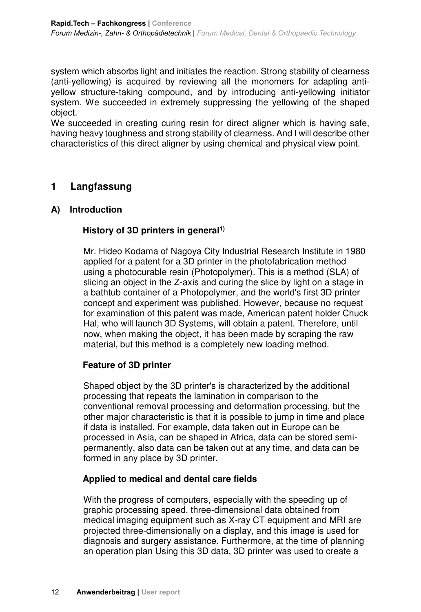**Rapid.Tech Fachkongress | Conference** 

system which absorbs light and initiates the reaction. Strong stability of clearness (anti-yellowing) is acquired by reviewing all the monomers for adapting antiyellow structure-taking compound, and by introducing anti-yellowing initiator system. We succeeded in extremely suppressing the yellowing of the shaped object.

We succeeded in creating curing resin for direct aligner which is having safe, having heavy toughness and strong stability of clearness. And I will describe other characteristics of this direct aligner by using chemical and physical view point.

# **1 Langfassung**

#### **A) Introduction**

#### History of 3D printers in general<sup>1)</sup>

Mr. Hideo Kodama of Nagoya City Industrial Research Institute in 1980 applied for a patent for a 3D printer in the photofabrication method using a photocurable resin (Photopolymer). This is a method (SLA) of slicing an object in the Z-axis and curing the slice by light on a stage in a bathtub container of a Photopolymer, and the world's first 3D printer concept and experiment was published. However, because no request for examination of this patent was made, American patent holder Chuck Hal, who will launch 3D Systems, will obtain a patent. Therefore, until now, when making the object, it has been made by scraping the raw material, but this method is a completely new loading method.

#### **Feature of 3D printer**

Shaped object by the 3D printer's is characterized by the additional processing that repeats the lamination in comparison to the conventional removal processing and deformation processing, but the other major characteristic is that it is possible to jump in time and place if data is installed. For example, data taken out in Europe can be processed in Asia, can be shaped in Africa, data can be stored semipermanently, also data can be taken out at any time, and data can be formed in any place by 3D printer.

#### **Applied to medical and dental care fields**

With the progress of computers, especially with the speeding up of graphic processing speed, three-dimensional data obtained from medical imaging equipment such as X-ray CT equipment and MRI are projected three-dimensionally on a display, and this image is used for diagnosis and surgery assistance. Furthermore, at the time of planning an operation plan Using this 3D data, 3D printer was used to create a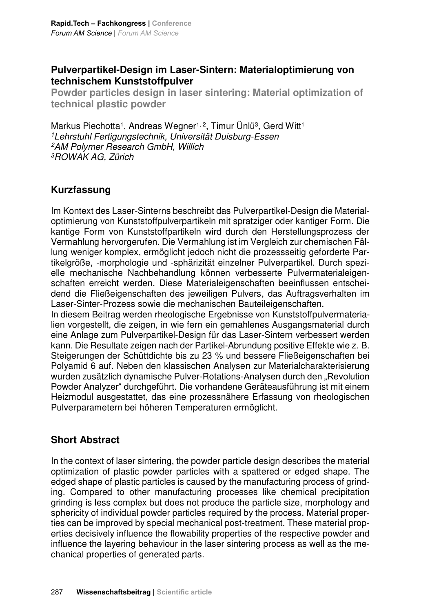# **Pulverpartikel-Design im Laser-Sintern: Materialoptimierung von technischem Kunststoffpulver**

**Rapid.Tech Fachkongress | Conference** 

**Powder particles design in laser sintering: Material optimization of technical plastic powder** 

Markus Piechotta<sup>1</sup>, Andreas Wegner<sup>1, 2</sup>, Timur Ünlü<sup>3</sup>, Gerd Witt<sup>1</sup> 1Lehrstuhl Fertigungstechnik, Universität Duisburg-Essen 2AM Polymer Research GmbH, Willich 3ROWAK AG, Zürich

# **Kurzfassung**

Im Kontext des Laser-Sinterns beschreibt das Pulverpartikel-Design die Materialoptimierung von Kunststoffpulverpartikeln mit spratziger oder kantiger Form. Die kantige Form von Kunststoffpartikeln wird durch den Herstellungsprozess der Vermahlung hervorgerufen. Die Vermahlung ist im Vergleich zur chemischen Fällung weniger komplex, ermöglicht jedoch nicht die prozessseitig geforderte Partikelgröße, -morphologie und -sphärizität einzelner Pulverpartikel. Durch spezielle mechanische Nachbehandlung können verbesserte Pulvermaterialeigenschaften erreicht werden. Diese Materialeigenschaften beeinflussen entscheidend die Fließeigenschaften des jeweiligen Pulvers, das Auftragsverhalten im Laser-Sinter-Prozess sowie die mechanischen Bauteileigenschaften.

In diesem Beitrag werden rheologische Ergebnisse von Kunststoffpulvermaterialien vorgestellt, die zeigen, in wie fern ein gemahlenes Ausgangsmaterial durch eine Anlage zum Pulverpartikel-Design für das Laser-Sintern verbessert werden kann. Die Resultate zeigen nach der Partikel-Abrundung positive Effekte wie z. B. Steigerungen der Schüttdichte bis zu 23 % und bessere Fließeigenschaften bei Polyamid 6 auf. Neben den klassischen Analysen zur Materialcharakterisierung wurden zusätzlich dynamische Pulver-Rotations-Analysen durch den "Revolution Powder Analyzer" durchgeführt. Die vorhandene Geräteausführung ist mit einem Heizmodul ausgestattet, das eine prozessnähere Erfassung von rheologischen Pulverparametern bei höheren Temperaturen ermöglicht.

# **Short Abstract**

In the context of laser sintering, the powder particle design describes the material optimization of plastic powder particles with a spattered or edged shape. The edged shape of plastic particles is caused by the manufacturing process of grinding. Compared to other manufacturing processes like chemical precipitation grinding is less complex but does not produce the particle size, morphology and sphericity of individual powder particles required by the process. Material properties can be improved by special mechanical post-treatment. These material properties decisively influence the flowability properties of the respective powder and influence the layering behaviour in the laser sintering process as well as the mechanical properties of generated parts.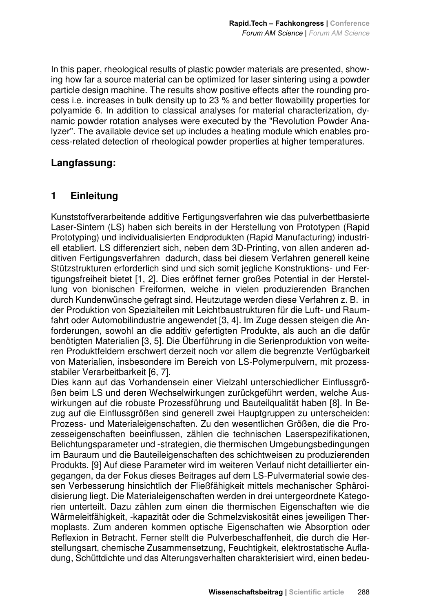In this paper, rheological results of plastic powder materials are presented, showing how far a source material can be optimized for laser sintering using a powder particle design machine. The results show positive effects after the rounding process i.e. increases in bulk density up to 23 % and better flowability properties for polyamide 6. In addition to classical analyses for material characterization, dynamic powder rotation analyses were executed by the "Revolution Powder Analyzer". The available device set up includes a heating module which enables process-related detection of rheological powder properties at higher temperatures.

# **Langfassung:**

# **1 Einleitung**

Kunststoffverarbeitende additive Fertigungsverfahren wie das pulverbettbasierte Laser-Sintern (LS) haben sich bereits in der Herstellung von Prototypen (Rapid Prototyping) und individualisierten Endprodukten (Rapid Manufacturing) industriell etabliert. LS differenziert sich, neben dem 3D-Printing, von allen anderen additiven Fertigungsverfahren dadurch, dass bei diesem Verfahren generell keine Stützstrukturen erforderlich sind und sich somit jegliche Konstruktions- und Fertigungsfreiheit bietet [1, 2]. Dies eröffnet ferner großes Potential in der Herstellung von bionischen Freiformen, welche in vielen produzierenden Branchen durch Kundenwünsche gefragt sind. Heutzutage werden diese Verfahren z. B. in der Produktion von Spezialteilen mit Leichtbaustrukturen für die Luft- und Raumfahrt oder Automobilindustrie angewendet [3, 4]. Im Zuge dessen steigen die Anforderungen, sowohl an die additiv gefertigten Produkte, als auch an die dafür benötigten Materialien [3, 5]. Die Überführung in die Serienproduktion von weiteren Produktfeldern erschwert derzeit noch vor allem die begrenzte Verfügbarkeit von Materialien, insbesondere im Bereich von LS-Polymerpulvern, mit prozessstabiler Verarbeitbarkeit [6, 7].

Dies kann auf das Vorhandensein einer Vielzahl unterschiedlicher Einflussgrößen beim LS und deren Wechselwirkungen zurückgeführt werden, welche Auswirkungen auf die robuste Prozessführung und Bauteilqualität haben [8]. In Bezug auf die Einflussgrößen sind generell zwei Hauptgruppen zu unterscheiden: Prozess- und Materialeigenschaften. Zu den wesentlichen Größen, die die Prozesseigenschaften beeinflussen, zählen die technischen Laserspezifikationen, Belichtungsparameter und -strategien, die thermischen Umgebungsbedingungen im Bauraum und die Bauteileigenschaften des schichtweisen zu produzierenden Produkts. [9] Auf diese Parameter wird im weiteren Verlauf nicht detaillierter eingegangen, da der Fokus dieses Beitrages auf dem LS-Pulvermaterial sowie dessen Verbesserung hinsichtlich der Fließfähigkeit mittels mechanischer Sphäroidisierung liegt. Die Materialeigenschaften werden in drei untergeordnete Kategorien unterteilt. Dazu zählen zum einen die thermischen Eigenschaften wie die Wärmeleitfähigkeit, -kapazität oder die Schmelzviskosität eines jeweiligen Thermoplasts. Zum anderen kommen optische Eigenschaften wie Absorption oder Reflexion in Betracht. Ferner stellt die Pulverbeschaffenheit, die durch die Herstellungsart, chemische Zusammensetzung, Feuchtigkeit, elektrostatische Aufladung, Schüttdichte und das Alterungsverhalten charakterisiert wird, einen bedeu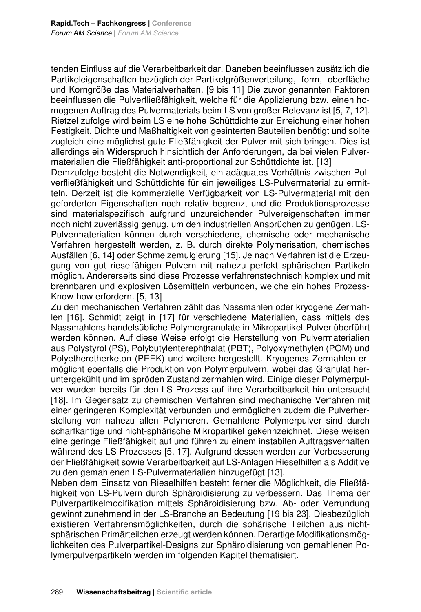tenden Einfluss auf die Verarbeitbarkeit dar. Daneben beeinflussen zusätzlich die Partikeleigenschaften bezüglich der Partikelgrößenverteilung, -form, -oberfläche und Korngröße das Materialverhalten. [9 bis 11] Die zuvor genannten Faktoren beeinflussen die Pulverfließfähigkeit, welche für die Applizierung bzw. einen homogenen Auftrag des Pulvermaterials beim LS von großer Relevanz ist [5, 7, 12]. Rietzel zufolge wird beim LS eine hohe Schüttdichte zur Erreichung einer hohen Festigkeit, Dichte und Maßhaltigkeit von gesinterten Bauteilen benötigt und sollte zugleich eine möglichst gute Fließfähigkeit der Pulver mit sich bringen. Dies ist allerdings ein Widerspruch hinsichtlich der Anforderungen, da bei vielen Pulvermaterialien die Fließfähigkeit anti-proportional zur Schüttdichte ist. [13]

**Rapid.Tech Fachkongress | Conference** 

Demzufolge besteht die Notwendigkeit, ein adäquates Verhältnis zwischen Pulverfließfähigkeit und Schüttdichte für ein jeweiliges LS-Pulvermaterial zu ermitteln. Derzeit ist die kommerzielle Verfügbarkeit von LS-Pulvermaterial mit den geforderten Eigenschaften noch relativ begrenzt und die Produktionsprozesse sind materialspezifisch aufgrund unzureichender Pulvereigenschaften immer noch nicht zuverlässig genug, um den industriellen Ansprüchen zu genügen. LS-Pulvermaterialien können durch verschiedene, chemische oder mechanische Verfahren hergestellt werden, z. B. durch direkte Polymerisation, chemisches Ausfällen [6, 14] oder Schmelzemulgierung [15]. Je nach Verfahren ist die Erzeugung von gut rieselfähigen Pulvern mit nahezu perfekt sphärischen Partikeln möglich. Andererseits sind diese Prozesse verfahrenstechnisch komplex und mit brennbaren und explosiven Lösemitteln verbunden, welche ein hohes Prozess-Know-how erfordern. [5, 13]

Zu den mechanischen Verfahren zählt das Nassmahlen oder kryogene Zermahlen [16]. Schmidt zeigt in [17] für verschiedene Materialien, dass mittels des Nassmahlens handelsübliche Polymergranulate in Mikropartikel-Pulver überführt werden können. Auf diese Weise erfolgt die Herstellung von Pulvermaterialien aus Polystyrol (PS), Polybutylenterephthalat (PBT), Polyoxymethylen (POM) und Polyetheretherketon (PEEK) und weitere hergestellt. Kryogenes Zermahlen ermöglicht ebenfalls die Produktion von Polymerpulvern, wobei das Granulat heruntergekühlt und im spröden Zustand zermahlen wird. Einige dieser Polymerpulver wurden bereits für den LS-Prozess auf ihre Verarbeitbarkeit hin untersucht [18]. Im Gegensatz zu chemischen Verfahren sind mechanische Verfahren mit einer geringeren Komplexität verbunden und ermöglichen zudem die Pulverherstellung von nahezu allen Polymeren. Gemahlene Polymerpulver sind durch scharfkantige und nicht-sphärische Mikropartikel gekennzeichnet. Diese weisen eine geringe Fließfähigkeit auf und führen zu einem instabilen Auftragsverhalten während des LS-Prozesses [5, 17]. Aufgrund dessen werden zur Verbesserung der Fließfähigkeit sowie Verarbeitbarkeit auf LS-Anlagen Rieselhilfen als Additive zu den gemahlenen LS-Pulvermaterialien hinzugefügt [13].

Neben dem Einsatz von Rieselhilfen besteht ferner die Möglichkeit, die Fließfähigkeit von LS-Pulvern durch Sphäroidisierung zu verbessern. Das Thema der Pulverpartikelmodifikation mittels Sphäroidisierung bzw. Ab- oder Verrundung gewinnt zunehmend in der LS-Branche an Bedeutung [19 bis 23]. Diesbezüglich existieren Verfahrensmöglichkeiten, durch die sphärische Teilchen aus nichtsphärischen Primärteilchen erzeugt werden können. Derartige Modifikationsmöglichkeiten des Pulverpartikel-Designs zur Sphäroidisierung von gemahlenen Polymerpulverpartikeln werden im folgenden Kapitel thematisiert.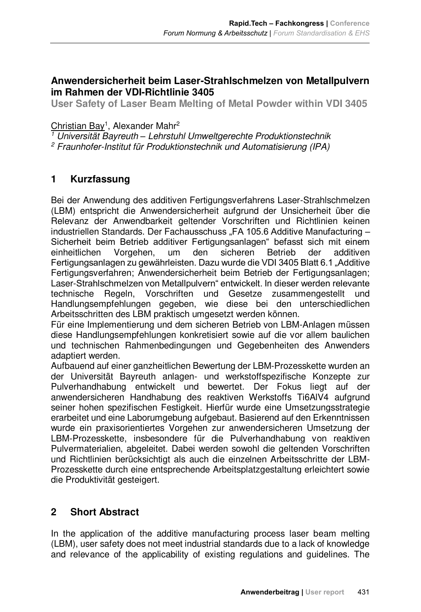**Rapid.Tech Fachkongress | Conference** 

# **Anwendersicherheit beim Laser-Strahlschmelzen von Metallpulvern im Rahmen der VDI-Richtlinie 3405**

**User Safety of Laser Beam Melting of Metal Powder within VDI 3405** 

<u>Christian Bay</u>1, Alexander Mahr<sup>2</sup>

1 Universität Bayreuth *–* Lehrstuhl Umweltgerechte Produktionstechnik

2 Fraunhofer-Institut für Produktionstechnik und Automatisierung (IPA)

# **1 Kurzfassung**

Bei der Anwendung des additiven Fertigungsverfahrens Laser-Strahlschmelzen (LBM) entspricht die Anwendersicherheit aufgrund der Unsicherheit über die Relevanz der Anwendbarkeit geltender Vorschriften und Richtlinien keinen industriellen Standards. Der Fachausschuss "FA 105.6 Additive Manufacturing -Sicherheit beim Betrieb additiver Fertigungsanlagen" befasst sich mit einem einheitlichen Vorgehen, um den sicheren Betrieb der additiven Fertigungsanlagen zu gewährleisten. Dazu wurde die VDI 3405 Blatt 6.1 "Additive Fertigungsverfahren; Anwendersicherheit beim Betrieb der Fertigungsanlagen; Laser-Strahlschmelzen von Metallpulvern" entwickelt. In dieser werden relevante technische Regeln, Vorschriften und Gesetze zusammengestellt und Handlungsempfehlungen gegeben, wie diese bei den unterschiedlichen Arbeitsschritten des LBM praktisch umgesetzt werden können.

Für eine Implementierung und dem sicheren Betrieb von LBM-Anlagen müssen diese Handlungsempfehlungen konkretisiert sowie auf die vor allem baulichen und technischen Rahmenbedingungen und Gegebenheiten des Anwenders adaptiert werden.

Aufbauend auf einer ganzheitlichen Bewertung der LBM-Prozesskette wurden an der Universität Bayreuth anlagen- und werkstoffspezifische Konzepte zur Pulverhandhabung entwickelt und bewertet. Der Fokus liegt auf der anwendersicheren Handhabung des reaktiven Werkstoffs Ti6AlV4 aufgrund seiner hohen spezifischen Festigkeit. Hierfür wurde eine Umsetzungsstrategie erarbeitet und eine Laborumgebung aufgebaut. Basierend auf den Erkenntnissen wurde ein praxisorientiertes Vorgehen zur anwendersicheren Umsetzung der LBM-Prozesskette, insbesondere für die Pulverhandhabung von reaktiven Pulvermaterialien, abgeleitet. Dabei werden sowohl die geltenden Vorschriften und Richtlinien berücksichtigt als auch die einzelnen Arbeitsschritte der LBM-Prozesskette durch eine entsprechende Arbeitsplatzgestaltung erleichtert sowie die Produktivität gesteigert.

# **2 Short Abstract**

In the application of the additive manufacturing process laser beam melting (LBM), user safety does not meet industrial standards due to a lack of knowledge and relevance of the applicability of existing regulations and guidelines. The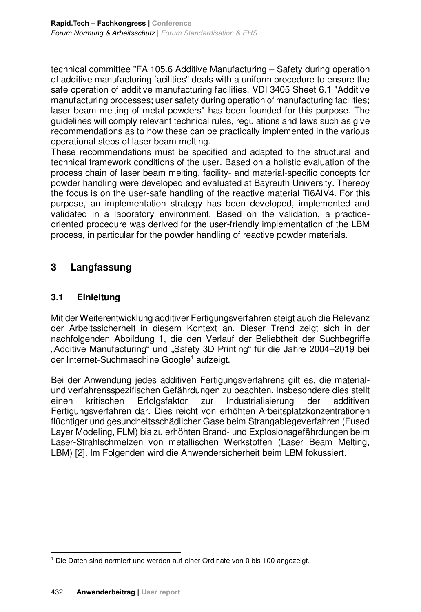technical committee "FA 105.6 Additive Manufacturing – Safety during operation of additive manufacturing facilities" deals with a uniform procedure to ensure the safe operation of additive manufacturing facilities. VDI 3405 Sheet 6.1 "Additive manufacturing processes; user safety during operation of manufacturing facilities; laser beam melting of metal powders" has been founded for this purpose. The guidelines will comply relevant technical rules, regulations and laws such as give recommendations as to how these can be practically implemented in the various operational steps of laser beam melting.

**Rapid.Tech Fachkongress | Conference** 

These recommendations must be specified and adapted to the structural and technical framework conditions of the user. Based on a holistic evaluation of the process chain of laser beam melting, facility- and material-specific concepts for powder handling were developed and evaluated at Bayreuth University. Thereby the focus is on the user-safe handling of the reactive material Ti6AlV4. For this purpose, an implementation strategy has been developed, implemented and validated in a laboratory environment. Based on the validation, a practiceoriented procedure was derived for the user-friendly implementation of the LBM process, in particular for the powder handling of reactive powder materials.

# **3 Langfassung**

# **3.1 Einleitung**

Mit der Weiterentwicklung additiver Fertigungsverfahren steigt auch die Relevanz der Arbeitssicherheit in diesem Kontext an. Dieser Trend zeigt sich in der nachfolgenden Abbildung 1, die den Verlauf der Beliebtheit der Suchbegriffe "Additive Manufacturing" und "Safety 3D Printing" für die Jahre 2004–2019 bei der Internet-Suchmaschine Google<sup>1</sup> aufzeigt.

Bei der Anwendung jedes additiven Fertigungsverfahrens gilt es, die materialund verfahrensspezifischen Gefährdungen zu beachten. Insbesondere dies stellt einen kritischen Erfolgsfaktor zur Industrialisierung der additiven Fertigungsverfahren dar. Dies reicht von erhöhten Arbeitsplatzkonzentrationen flüchtiger und gesundheitsschädlicher Gase beim Strangablegeverfahren (Fused Layer Modeling, FLM) bis zu erhöhten Brand- und Explosionsgefährdungen beim Laser-Strahlschmelzen von metallischen Werkstoffen (Laser Beam Melting, LBM) [2]. Im Folgenden wird die Anwendersicherheit beim LBM fokussiert.

l <sup>1</sup> Die Daten sind normiert und werden auf einer Ordinate von 0 bis 100 angezeigt.